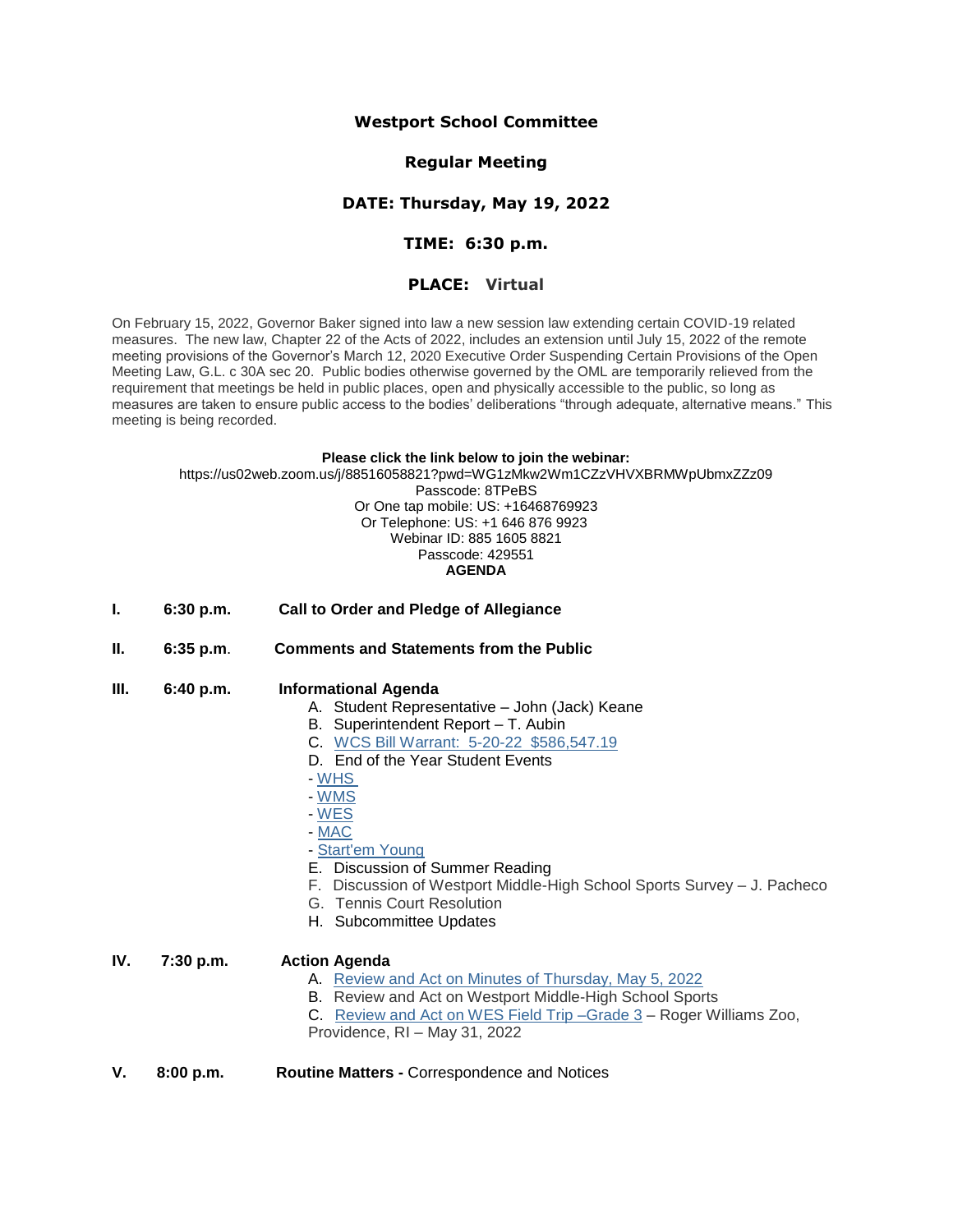#### **Westport School Committee**

# **Regular Meeting**

#### **DATE: Thursday, May 19, 2022**

## **TIME: 6:30 p.m.**

## **PLACE: Virtual**

On February 15, 2022, Governor Baker signed into law a new session law extending certain COVID-19 related measures. The new law, Chapter 22 of the Acts of 2022, includes an extension until July 15, 2022 of the remote meeting provisions of the Governor's March 12, 2020 Executive Order Suspending Certain Provisions of the Open Meeting Law, G.L. c 30A sec 20. Public bodies otherwise governed by the OML are temporarily relieved from the requirement that meetings be held in public places, open and physically accessible to the public, so long as measures are taken to ensure public access to the bodies' deliberations "through adequate, alternative means." This meeting is being recorded.

#### **Please click the link below to join the webinar:**

https://us02web.zoom.us/j/88516058821?pwd=WG1zMkw2Wm1CZzVHVXBRMWpUbmxZZz09 Passcode: 8TPeBS Or One tap mobile: US: +16468769923 Or Telephone: US: +1 646 876 9923 Webinar ID: 885 1605 8821 Passcode: 429551 **AGENDA**

- **I. 6:30 p.m. Call to Order and Pledge of Allegiance**
- **II. 6:35 p.m**. **Comments and Statements from the Public**
- **III. 6:40 p.m. Informational Agenda**
	- A. Student Representative John (Jack) Keane
	- B. Superintendent Report T. Aubin
	- C. WCS Bill Warrant: [5-20-22 \\$586,547.19](https://docs.google.com/a/westportschools.org/viewer?a=v&pid=sites&srcid=d2VzdHBvcnRzY2hvb2xzLm9yZ3xzY2hvb2wtY29tbWl0dGVlLWJhY2t1cHxneDoxOTkyYjNiNDMzNDVjNmE5)
	- D. End of the Year Student Events
	- [WHS](https://docs.google.com/a/westportschools.org/viewer?a=v&pid=sites&srcid=d2VzdHBvcnRzY2hvb2xzLm9yZ3xzY2hvb2wtY29tbWl0dGVlLWJhY2t1cHxneDo0NDQyOGQ4M2JlODIzZjY5)
	- [WMS](https://docs.google.com/a/westportschools.org/viewer?a=v&pid=sites&srcid=d2VzdHBvcnRzY2hvb2xzLm9yZ3xzY2hvb2wtY29tbWl0dGVlLWJhY2t1cHxneDoyMjVkZGNhNzg2ZjNlOGJk)
	- [WES](https://docs.google.com/a/westportschools.org/viewer?a=v&pid=sites&srcid=d2VzdHBvcnRzY2hvb2xzLm9yZ3xzY2hvb2wtY29tbWl0dGVlLWJhY2t1cHxneDo3ZjZlYjQwODNhNWQ1NWVk)
	- [MAC](https://docs.google.com/a/westportschools.org/viewer?a=v&pid=sites&srcid=d2VzdHBvcnRzY2hvb2xzLm9yZ3xzY2hvb2wtY29tbWl0dGVlLWJhY2t1cHxneDoyN2ViMDUzYzJiZmIyYjIw)
	- [Start'em Young](https://docs.google.com/a/westportschools.org/viewer?a=v&pid=sites&srcid=d2VzdHBvcnRzY2hvb2xzLm9yZ3xzY2hvb2wtY29tbWl0dGVlLWJhY2t1cHxneDo1Y2YyNDg4ZWM4Nzk0NTBl)
	- E. Discussion of Summer Reading
	- F. Discussion of Westport Middle-High School Sports Survey J. Pacheco
	- G. Tennis Court Resolution
	- H. Subcommittee Updates

**IV. 7:30 p.m. Action Agenda**

- A. [Review and Act on Minutes of Thursday, May 5, 2022](https://docs.google.com/a/westportschools.org/viewer?a=v&pid=sites&srcid=d2VzdHBvcnRzY2hvb2xzLm9yZ3xzY2hvb2wtY29tbWl0dGVlLWJhY2t1cHxneDo0MjE5NzdhYjVlOGQxZDAy)
- B. Review and Act on Westport Middle-High School Sports
- C. [Review and Act on WES Field Trip –Grade 3](https://docs.google.com/a/westportschools.org/viewer?a=v&pid=sites&srcid=d2VzdHBvcnRzY2hvb2xzLm9yZ3xzY2hvb2wtY29tbWl0dGVlLWJhY2t1cHxneDo3YThhZTRmNTZlZTFhZDU5) Roger Williams Zoo,
- Providence, RI May 31, 2022
- **V. 8:00 p.m. Routine Matters -** Correspondence and Notices